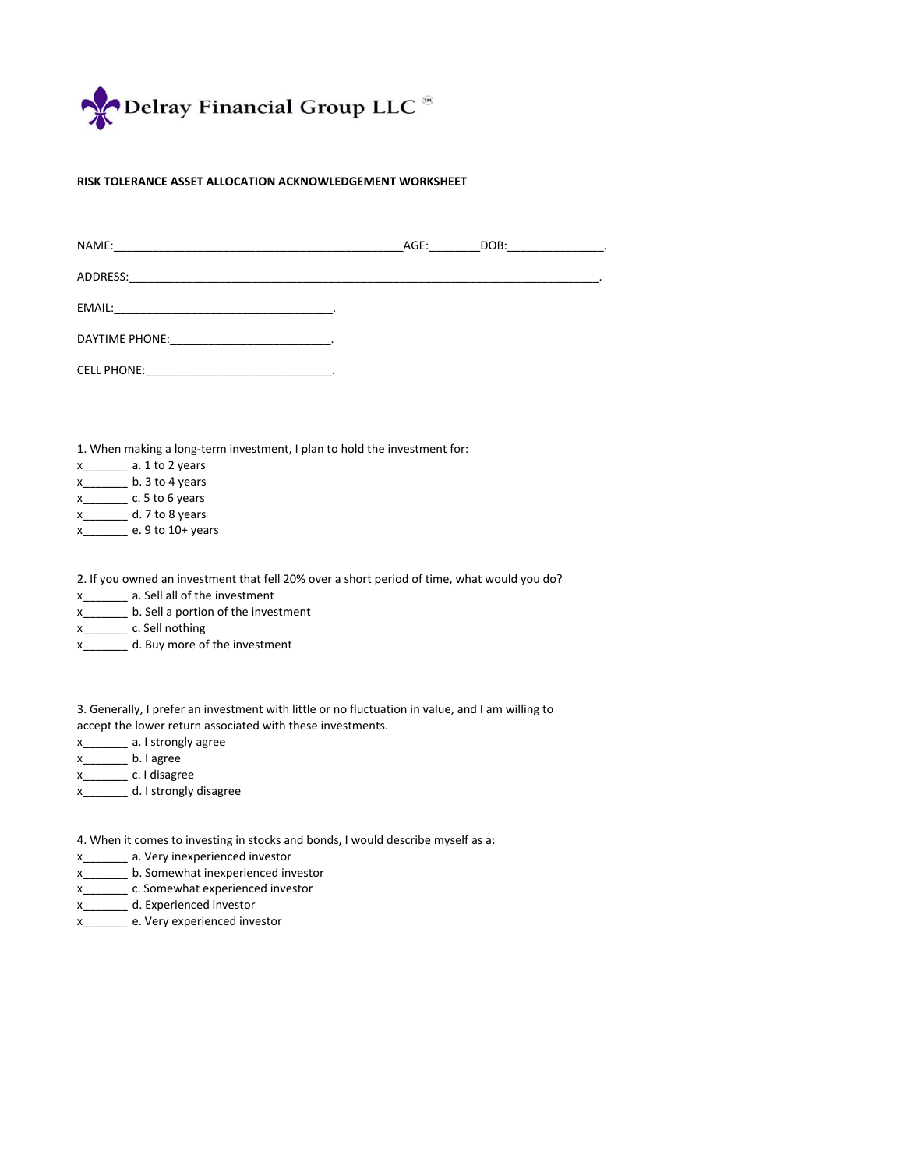

## **RISK TOLERANCE ASSET ALLOCATION ACKNOWLEDGEMENT WORKSHEET**

| NAME: NAME: 2008 00:00 00:00 00:00 00:00 00:00 00:00 00:00 00:00 00:00 00:00 00:00 00:00 00:00 00:00 00:00 00: | AGE: | DOB: _________________. |
|----------------------------------------------------------------------------------------------------------------|------|-------------------------|
|                                                                                                                |      |                         |
|                                                                                                                |      |                         |
|                                                                                                                |      |                         |
|                                                                                                                |      |                         |
|                                                                                                                |      |                         |
| 1 When making a long-term investment I plan to hold the investment for                                         |      |                         |

1. When making a long-term investment, I plan to hold the investment for:

| x | a. 1 to 2 years |
|---|-----------------|
| x | b. 3 to 4 years |
| x | c. 5 to 6 years |
| x | d. 7 to 8 years |
|   | $0 + 10 + 10$   |

x\_\_\_\_\_\_\_ e. 9 to 10+ years

2. If you owned an investment that fell 20% over a short period of time, what would you do?

x\_\_\_\_\_\_\_ a. Sell all of the investment

- x\_\_\_\_\_\_\_ b. Sell a portion of the investment
- x\_\_\_\_\_\_\_ c. Sell nothing
- x\_\_\_\_\_\_\_ d. Buy more of the investment

3. Generally, I prefer an investment with little or no fluctuation in value, and I am willing to accept the lower return associated with these investments.

- x\_\_\_\_\_\_\_ a. I strongly agree
- x\_\_\_\_\_\_\_ b. I agree
- x\_\_\_\_\_\_\_ c. I disagree
- x\_\_\_\_\_\_\_ d. I strongly disagree

4. When it comes to investing in stocks and bonds, I would describe myself as a:

x\_\_\_\_\_\_\_ a. Very inexperienced investor

- x\_\_\_\_\_\_\_ b. Somewhat inexperienced investor
- x\_\_\_\_\_\_\_ c. Somewhat experienced investor
- x\_\_\_\_\_\_\_ d. Experienced investor
- x\_\_\_\_\_\_\_ e. Very experienced investor